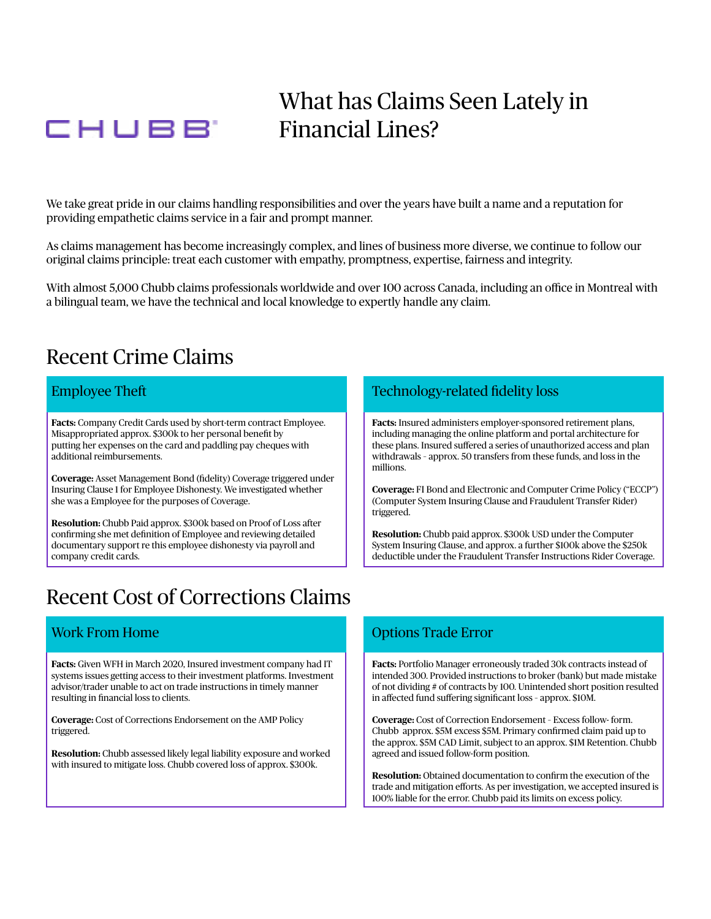# CHUBB<sup>'</sup>

## What has Claims Seen Lately in Financial Lines?

We take great pride in our claims handling responsibilities and over the years have built a name and a reputation for providing empathetic claims service in a fair and prompt manner.

As claims management has become increasingly complex, and lines of business more diverse, we continue to follow our original claims principle: treat each customer with empathy, promptness, expertise, fairness and integrity.

With almost 5,000 Chubb claims professionals worldwide and over 100 across Canada, including an office in Montreal with a bilingual team, we have the technical and local knowledge to expertly handle any claim.

### Recent Crime Claims

Misappropriated approx. \$300k to her personal benefit by **including managing the online platform and portal architecture for** additional reimbursements. withdrawals – approx. 50 transfers from these funds, and loss in the

**Coverage:** Asset Management Bond (fdelity) Coverage triggered under Insuring Clause 1 for Employee Dishonesty. We investigated whether **Coverage:** FI Bond and Electronic and Computer Crime Policy ("ECCP") she was a Employee for the purposes of Coverage. (Computer System Insuring Clause and Fraudulent Transfer Rider)

**Resolution:** Chubb Paid approx. \$300k based on Proof of Loss after

## Recent Cost of Corrections Claims

**Facts:** Given WFH in March 2020, Insured investment company had IT **Facts:** Portfolio Manager erroneously traded 30k contracts instead of systems issues getting access to their investment platforms. Investment intended 300. Provided instructions to broker (bank) but made mistake resulting in financial loss to clients. in affected fund suffering significant loss - approx. \$10M.

**Resolution:** Chubb assessed likely legal liability exposure and worked agreed and issued follow-form position. with insured to mitigate loss. Chubb covered loss of approx. \$300k.

#### Employee Theft Technology-related fidelity loss

**Facts:** Company Credit Cards used by short-term contract Employee. **Facts:** Insured administers employer-sponsored retirement plans, putting her expenses on the card and paddling pay cheques with these plans. Insured suffered a series of unauthorized access and plan millions.

triggered.

Resolution: Chubb paid approx. \$300k USD under the Computer documentary support re this employee dishonesty via payroll and System Insuring Clause, and approx. a further \$100k above the \$250k company credit cards. deductible under the Fraudulent Transfer Instructions Rider Coverage.

#### **EXECUTE: IN THE OPTIONS TRADE EXECUTE AND THE OPTIONS TRADE EXECUTE AND THE OPTIONS TRADE EXECUTE AND THE OPTIONS TRADE EXECUTE AND THE OPTIONS TRADE EXECUTE AND THE OPTIONS TRADE EXECUTE AND THE OPTIONS TRADE EXECUTE AND**

advisor/trader unable to act on trade instructions in timely manner of not dividing # of contracts by 100. Unintended short position resulted

**Coverage:** Cost of Corrections Endorsement on the AMP Policy **Coverage:** Cost of Correction Endorsement – Excess follow- form. triggered. Chubb approx. \$5M excess \$5M. Primary confirmed claim paid up to the approx. \$5M CAD Limit, subject to an approx. \$1M Retention. Chubb

> **Resolution:** Obtained documentation to confrm the execution of the trade and mitigation efforts. As per investigation, we accepted insured is 100% liable for the error. Chubb paid its limits on excess policy.